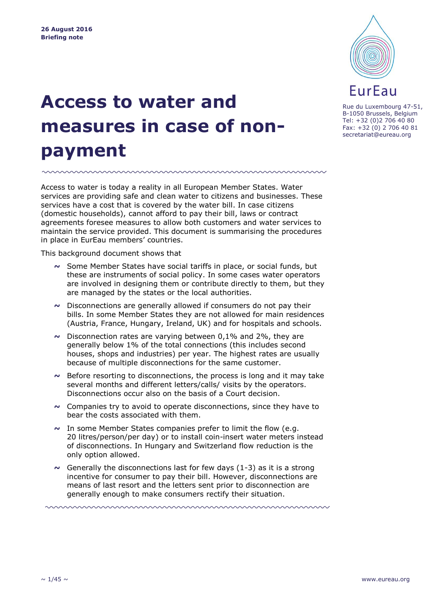

**Access to water and measures in case of nonpayment**

Access to water is today a reality in all European Member States. Water services are providing safe and clean water to citizens and businesses. These services have a cost that is covered by the water bill. In case citizens (domestic households), cannot afford to pay their bill, laws or contract agreements foresee measures to allow both customers and water services to maintain the service provided. This document is summarising the procedures in place in EurEau members' countries.

www.www.www.www.www.www.w

This background document shows that

- **~** Some Member States have social tariffs in place, or social funds, but these are instruments of social policy. In some cases water operators are involved in designing them or contribute directly to them, but they are managed by the states or the local authorities.
- **~** Disconnections are generally allowed if consumers do not pay their bills. In some Member States they are not allowed for main residences (Austria, France, Hungary, Ireland, UK) and for hospitals and schools.
- **~** Disconnection rates are varying between 0,1% and 2%, they are generally below 1% of the total connections (this includes second houses, shops and industries) per year. The highest rates are usually because of multiple disconnections for the same customer.
- **~** Before resorting to disconnections, the process is long and it may take several months and different letters/calls/ visits by the operators. Disconnections occur also on the basis of a Court decision.
- **~** Companies try to avoid to operate disconnections, since they have to bear the costs associated with them.
- **~** In some Member States companies prefer to limit the flow (e.g. 20 litres/person/per day) or to install coin-insert water meters instead of disconnections. In Hungary and Switzerland flow reduction is the only option allowed.
- **~** Generally the disconnections last for few days (1-3) as it is a strong incentive for consumer to pay their bill. However, disconnections are means of last resort and the letters sent prior to disconnection are generally enough to make consumers rectify their situation.

<u>ummummummummummummum</u>

Rue du Luxembourg 47-51, B-1050 Brussels, Belgium Tel: +32 (0)2 706 40 80 Fax: +32 (0) 2 706 40 81 secretariat@eureau.org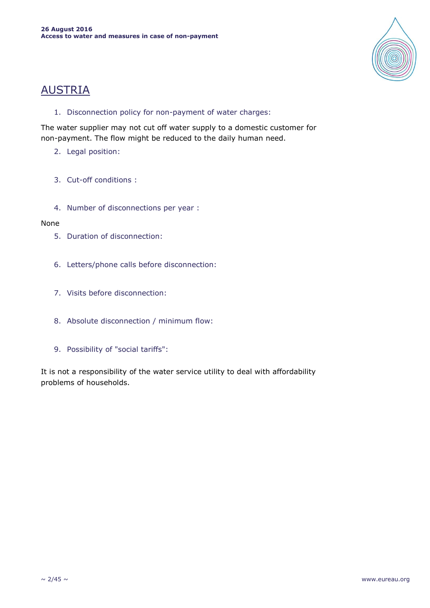

# AUSTRIA

1. Disconnection policy for non-payment of water charges:

The water supplier may not cut off water supply to a domestic customer for non-payment. The flow might be reduced to the daily human need.

- 2. Legal position:
- 3. Cut-off conditions :
- 4. Number of disconnections per year :

### None

- 5. Duration of disconnection:
- 6. Letters/phone calls before disconnection:
- 7. Visits before disconnection:
- 8. Absolute disconnection / minimum flow:
- 9. Possibility of "social tariffs":

It is not a responsibility of the water service utility to deal with affordability problems of households.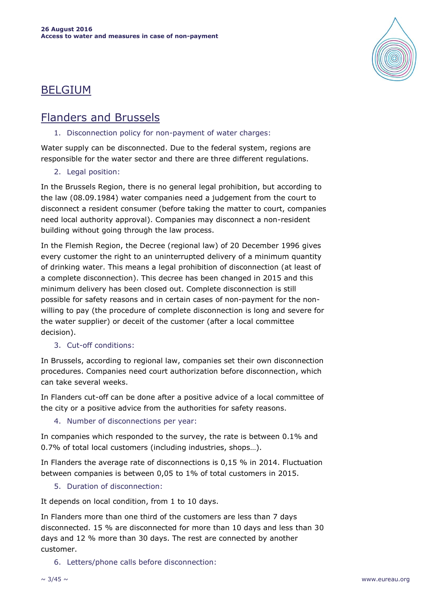

# BELGIUM

# Flanders and Brussels

### 1. Disconnection policy for non-payment of water charges:

Water supply can be disconnected. Due to the federal system, regions are responsible for the water sector and there are three different regulations.

# 2. Legal position:

In the Brussels Region, there is no general legal prohibition, but according to the law (08.09.1984) water companies need a judgement from the court to disconnect a resident consumer (before taking the matter to court, companies need local authority approval). Companies may disconnect a non-resident building without going through the law process.

In the Flemish Region, the Decree (regional law) of 20 December 1996 gives every customer the right to an uninterrupted delivery of a minimum quantity of drinking water. This means a legal prohibition of disconnection (at least of a complete disconnection). This decree has been changed in 2015 and this minimum delivery has been closed out. Complete disconnection is still possible for safety reasons and in certain cases of non-payment for the nonwilling to pay (the procedure of complete disconnection is long and severe for the water supplier) or deceit of the customer (after a local committee decision).

# 3. Cut-off conditions:

In Brussels, according to regional law, companies set their own disconnection procedures. Companies need court authorization before disconnection, which can take several weeks.

In Flanders cut-off can be done after a positive advice of a local committee of the city or a positive advice from the authorities for safety reasons.

4. Number of disconnections per year:

In companies which responded to the survey, the rate is between 0.1% and 0.7% of total local customers (including industries, shops…).

In Flanders the average rate of disconnections is 0,15 % in 2014. Fluctuation between companies is between 0,05 to 1% of total customers in 2015.

5. Duration of disconnection:

It depends on local condition, from 1 to 10 days.

In Flanders more than one third of the customers are less than 7 days disconnected. 15 % are disconnected for more than 10 days and less than 30 days and 12 % more than 30 days. The rest are connected by another customer.

6. Letters/phone calls before disconnection: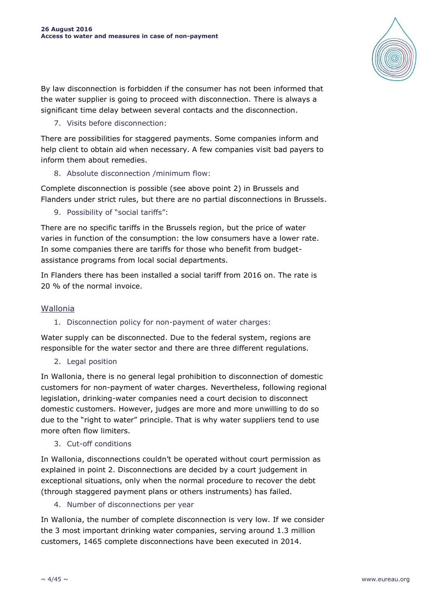

By law disconnection is forbidden if the consumer has not been informed that the water supplier is going to proceed with disconnection. There is always a significant time delay between several contacts and the disconnection.

### 7. Visits before disconnection:

There are possibilities for staggered payments. Some companies inform and help client to obtain aid when necessary. A few companies visit bad payers to inform them about remedies.

# 8. Absolute disconnection /minimum flow:

Complete disconnection is possible (see above point 2) in Brussels and Flanders under strict rules, but there are no partial disconnections in Brussels.

9. Possibility of "social tariffs":

There are no specific tariffs in the Brussels region, but the price of water varies in function of the consumption: the low consumers have a lower rate. In some companies there are tariffs for those who benefit from budgetassistance programs from local social departments.

In Flanders there has been installed a social tariff from 2016 on. The rate is 20 % of the normal invoice.

# Wallonia

### 1. Disconnection policy for non-payment of water charges:

Water supply can be disconnected. Due to the federal system, regions are responsible for the water sector and there are three different regulations.

2. Legal position

In Wallonia, there is no general legal prohibition to disconnection of domestic customers for non-payment of water charges. Nevertheless, following regional legislation, drinking-water companies need a court decision to disconnect domestic customers. However, judges are more and more unwilling to do so due to the "right to water" principle. That is why water suppliers tend to use more often flow limiters.

### 3. Cut-off conditions

In Wallonia, disconnections couldn't be operated without court permission as explained in point 2. Disconnections are decided by a court judgement in exceptional situations, only when the normal procedure to recover the debt (through staggered payment plans or others instruments) has failed.

### 4. Number of disconnections per year

In Wallonia, the number of complete disconnection is very low. If we consider the 3 most important drinking water companies, serving around 1.3 million customers, 1465 complete disconnections have been executed in 2014.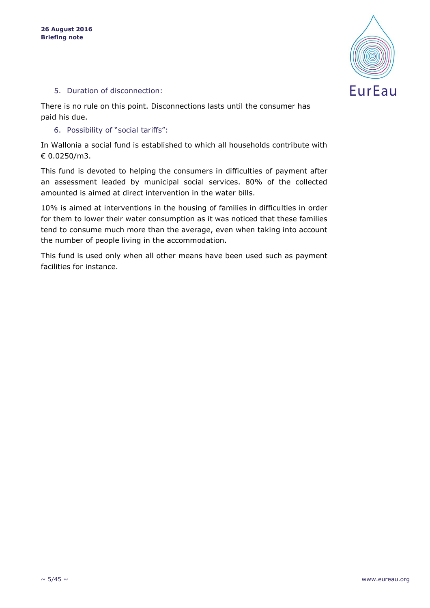

### 5. Duration of disconnection:

There is no rule on this point. Disconnections lasts until the consumer has paid his due.

#### 6. Possibility of "social tariffs":

In Wallonia a social fund is established to which all households contribute with € 0.0250/m3.

This fund is devoted to helping the consumers in difficulties of payment after an assessment leaded by municipal social services. 80% of the collected amounted is aimed at direct intervention in the water bills.

10% is aimed at interventions in the housing of families in difficulties in order for them to lower their water consumption as it was noticed that these families tend to consume much more than the average, even when taking into account the number of people living in the accommodation.

This fund is used only when all other means have been used such as payment facilities for instance.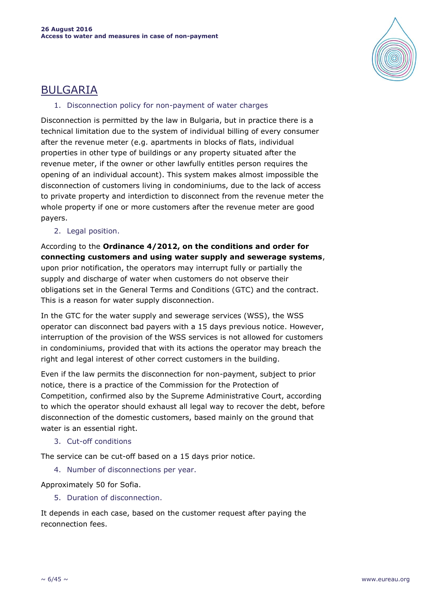

# BULGARIA

### 1. Disconnection policy for non-payment of water charges

Disconnection is permitted by the law in Bulgaria, but in practice there is a technical limitation due to the system of individual billing of every consumer after the revenue meter (e.g. apartments in blocks of flats, individual properties in other type of buildings or any property situated after the revenue meter, if the owner or other lawfully entitles person requires the opening of an individual account). This system makes almost impossible the disconnection of customers living in condominiums, due to the lack of access to private property and interdiction to disconnect from the revenue meter the whole property if one or more customers after the revenue meter are good payers.

2. Legal position.

According to the **Ordinance 4/2012, on the conditions and order for connecting customers and using water supply and sewerage systems**, upon prior notification, the operators may interrupt fully or partially the supply and discharge of water when customers do not observe their obligations set in the General Terms and Conditions (GTC) and the contract. This is a reason for water supply disconnection.

In the GTC for the water supply and sewerage services (WSS), the WSS operator can disconnect bad payers with a 15 days previous notice. However, interruption of the provision of the WSS services is not allowed for customers in condominiums, provided that with its actions the operator may breach the right and legal interest of other correct customers in the building.

Even if the law permits the disconnection for non-payment, subject to prior notice, there is a practice of the Commission for the Protection of Competition, confirmed also by the Supreme Administrative Court, according to which the operator should exhaust all legal way to recover the debt, before disconnection of the domestic customers, based mainly on the ground that water is an essential right.

3. Cut-off conditions

The service can be cut-off based on a 15 days prior notice.

4. Number of disconnections per year.

Approximately 50 for Sofia.

5. Duration of disconnection.

It depends in each case, based on the customer request after paying the reconnection fees.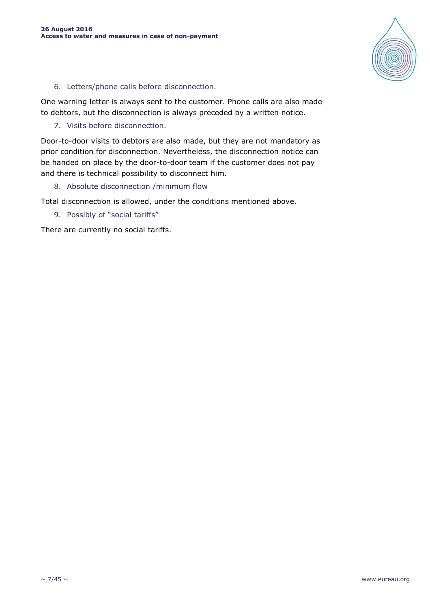

### 6. Letters/phone calls before disconnection.

One warning letter is always sent to the customer. Phone calls are also made to debtors, but the disconnection is always preceded by a written notice.

### 7. Visits before disconnection.

Door-to-door visits to debtors are also made, but they are not mandatory as prior condition for disconnection. Nevertheless, the disconnection notice can be handed on place by the door-to-door team if the customer does not pay and there is technical possibility to disconnect him.

### 8. Absolute disconnection /minimum flow

Total disconnection is allowed, under the conditions mentioned above.

9. Possibly of "social tariffs"

There are currently no social tariffs.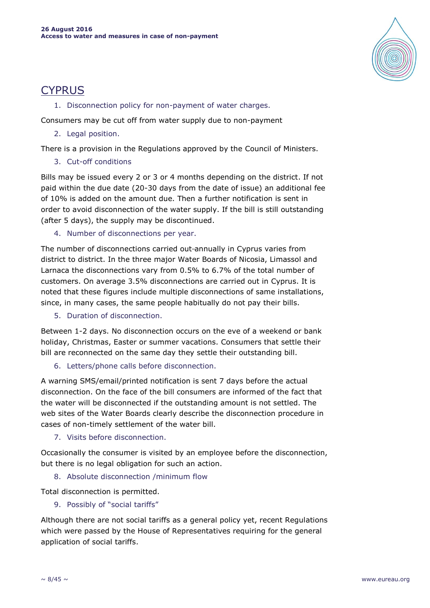

# **CYPRUS**

1. Disconnection policy for non-payment of water charges.

Consumers may be cut off from water supply due to non-payment

2. Legal position.

There is a provision in the Regulations approved by the Council of Ministers.

3. Cut-off conditions

Bills may be issued every 2 or 3 or 4 months depending on the district. If not paid within the due date (20-30 days from the date of issue) an additional fee of 10% is added on the amount due. Then a further notification is sent in order to avoid disconnection of the water supply. If the bill is still outstanding (after 5 days), the supply may be discontinued.

4. Number of disconnections per year.

The number of disconnections carried out-annually in Cyprus varies from district to district. In the three major Water Boards of Nicosia, Limassol and Larnaca the disconnections vary from 0.5% to 6.7% of the total number of customers. On average 3.5% disconnections are carried out in Cyprus. It is noted that these figures include multiple disconnections of same installations, since, in many cases, the same people habitually do not pay their bills.

5. Duration of disconnection.

Between 1-2 days. No disconnection occurs on the eve of a weekend or bank holiday, Christmas, Easter or summer vacations. Consumers that settle their bill are reconnected on the same day they settle their outstanding bill.

6. Letters/phone calls before disconnection.

A warning SMS/email/printed notification is sent 7 days before the actual disconnection. On the face of the bill consumers are informed of the fact that the water will be disconnected if the outstanding amount is not settled. The web sites of the Water Boards clearly describe the disconnection procedure in cases of non-timely settlement of the water bill.

7. Visits before disconnection.

Occasionally the consumer is visited by an employee before the disconnection, but there is no legal obligation for such an action.

8. Absolute disconnection /minimum flow

Total disconnection is permitted.

9. Possibly of "social tariffs"

Although there are not social tariffs as a general policy yet, recent Regulations which were passed by the House of Representatives requiring for the general application of social tariffs.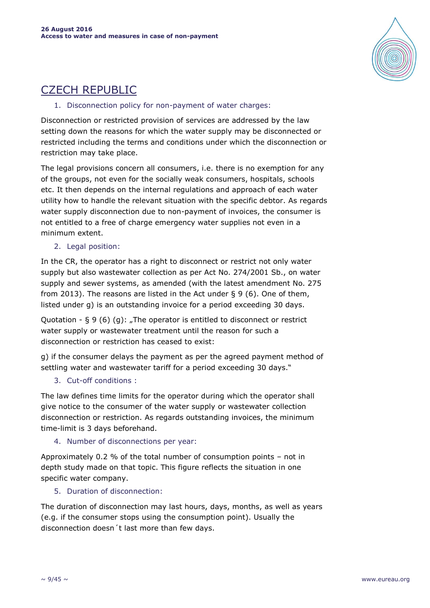

# CZECH REPUBLIC

### 1. Disconnection policy for non-payment of water charges:

Disconnection or restricted provision of services are addressed by the law setting down the reasons for which the water supply may be disconnected or restricted including the terms and conditions under which the disconnection or restriction may take place.

The legal provisions concern all consumers, i.e. there is no exemption for any of the groups, not even for the socially weak consumers, hospitals, schools etc. It then depends on the internal regulations and approach of each water utility how to handle the relevant situation with the specific debtor. As regards water supply disconnection due to non-payment of invoices, the consumer is not entitled to a free of charge emergency water supplies not even in a minimum extent.

### 2. Legal position:

In the CR, the operator has a right to disconnect or restrict not only water supply but also wastewater collection as per Act No. 274/2001 Sb., on water supply and sewer systems, as amended (with the latest amendment No. 275 from 2013). The reasons are listed in the Act under § 9 (6). One of them, listed under g) is an outstanding invoice for a period exceeding 30 days.

Quotation -  $\S 9(6)(q)$ : "The operator is entitled to disconnect or restrict water supply or wastewater treatment until the reason for such a disconnection or restriction has ceased to exist:

g) if the consumer delays the payment as per the agreed payment method of settling water and wastewater tariff for a period exceeding 30 days."

# 3. Cut-off conditions :

The law defines time limits for the operator during which the operator shall give notice to the consumer of the water supply or wastewater collection disconnection or restriction. As regards outstanding invoices, the minimum time-limit is 3 days beforehand.

### 4. Number of disconnections per year:

Approximately 0.2 % of the total number of consumption points – not in depth study made on that topic. This figure reflects the situation in one specific water company.

5. Duration of disconnection:

The duration of disconnection may last hours, days, months, as well as years (e.g. if the consumer stops using the consumption point). Usually the disconnection doesn´t last more than few days.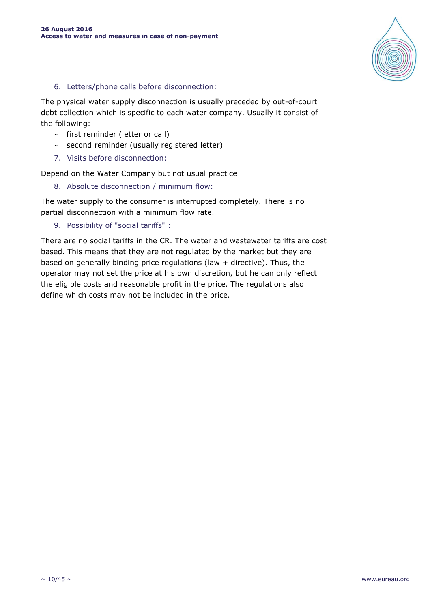

### 6. Letters/phone calls before disconnection:

The physical water supply disconnection is usually preceded by out-of-court debt collection which is specific to each water company. Usually it consist of the following:

- $\sim$  first reminder (letter or call)
- $\sim$  second reminder (usually registered letter)
- 7. Visits before disconnection:

Depend on the Water Company but not usual practice

8. Absolute disconnection / minimum flow:

The water supply to the consumer is interrupted completely. There is no partial disconnection with a minimum flow rate.

9. Possibility of "social tariffs" :

There are no social tariffs in the CR. The water and wastewater tariffs are cost based. This means that they are not regulated by the market but they are based on generally binding price regulations (law + directive). Thus, the operator may not set the price at his own discretion, but he can only reflect the eligible costs and reasonable profit in the price. The regulations also define which costs may not be included in the price.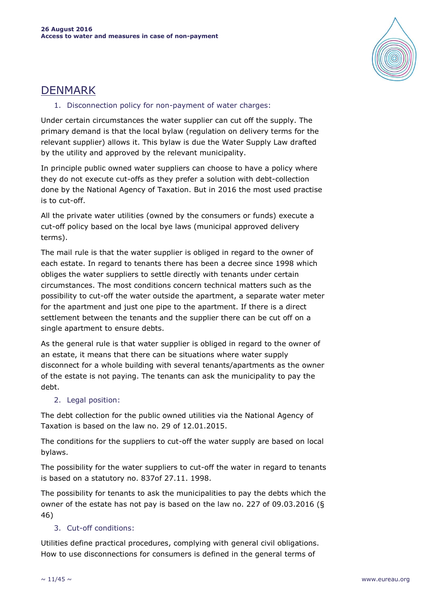

# DENMARK

### 1. Disconnection policy for non-payment of water charges:

Under certain circumstances the water supplier can cut off the supply. The primary demand is that the local bylaw (regulation on delivery terms for the relevant supplier) allows it. This bylaw is due the Water Supply Law drafted by the utility and approved by the relevant municipality.

In principle public owned water suppliers can choose to have a policy where they do not execute cut-offs as they prefer a solution with debt-collection done by the National Agency of Taxation. But in 2016 the most used practise is to cut-off.

All the private water utilities (owned by the consumers or funds) execute a cut-off policy based on the local bye laws (municipal approved delivery terms).

The mail rule is that the water supplier is obliged in regard to the owner of each estate. In regard to tenants there has been a decree since 1998 which obliges the water suppliers to settle directly with tenants under certain circumstances. The most conditions concern technical matters such as the possibility to cut-off the water outside the apartment, a separate water meter for the apartment and just one pipe to the apartment. If there is a direct settlement between the tenants and the supplier there can be cut off on a single apartment to ensure debts.

As the general rule is that water supplier is obliged in regard to the owner of an estate, it means that there can be situations where water supply disconnect for a whole building with several tenants/apartments as the owner of the estate is not paying. The tenants can ask the municipality to pay the debt.

# 2. Legal position:

The debt collection for the public owned utilities via the National Agency of Taxation is based on the law no. 29 of 12.01.2015.

The conditions for the suppliers to cut-off the water supply are based on local bylaws.

The possibility for the water suppliers to cut-off the water in regard to tenants is based on a statutory no. 837of 27.11. 1998.

The possibility for tenants to ask the municipalities to pay the debts which the owner of the estate has not pay is based on the law no. 227 of 09.03.2016 (§ 46)

# 3. Cut-off conditions:

Utilities define practical procedures, complying with general civil obligations. How to use disconnections for consumers is defined in the general terms of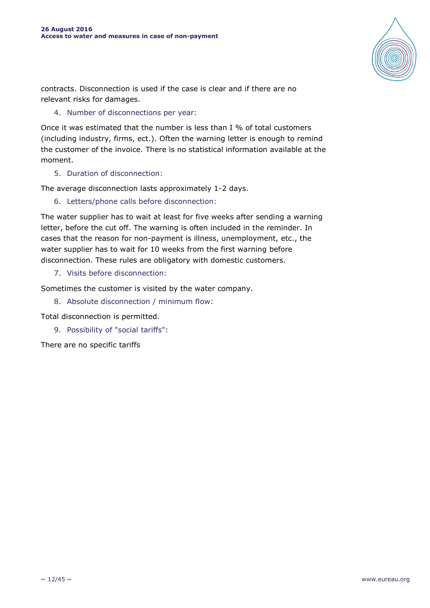

contracts. Disconnection is used if the case is clear and if there are no relevant risks for damages.

### 4. Number of disconnections per year:

Once it was estimated that the number is less than I % of total customers (including industry, firms, ect.). Often the warning letter is enough to remind the customer of the invoice. There is no statistical information available at the moment.

5. Duration of disconnection:

The average disconnection lasts approximately 1-2 days.

6. Letters/phone calls before disconnection:

The water supplier has to wait at least for five weeks after sending a warning letter, before the cut off. The warning is often included in the reminder. In cases that the reason for non-payment is illness, unemployment, etc., the water supplier has to wait for 10 weeks from the first warning before disconnection. These rules are obligatory with domestic customers.

7. Visits before disconnection:

Sometimes the customer is visited by the water company.

8. Absolute disconnection / minimum flow:

Total disconnection is permitted.

9. Possibility of "social tariffs":

There are no specific tariffs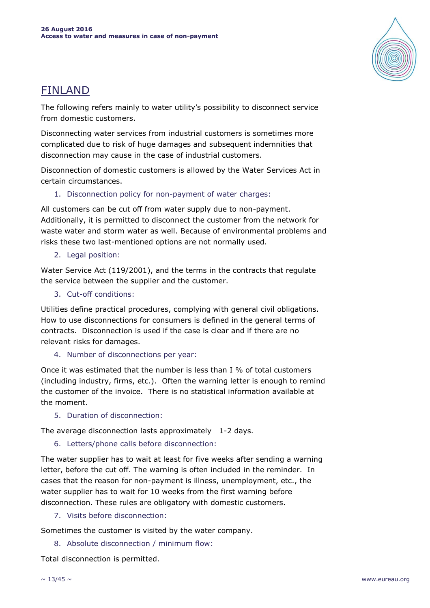

# FINLAND

The following refers mainly to water utility's possibility to disconnect service from domestic customers.

Disconnecting water services from industrial customers is sometimes more complicated due to risk of huge damages and subsequent indemnities that disconnection may cause in the case of industrial customers.

Disconnection of domestic customers is allowed by the Water Services Act in certain circumstances.

1. Disconnection policy for non-payment of water charges:

All customers can be cut off from water supply due to non-payment. Additionally, it is permitted to disconnect the customer from the network for waste water and storm water as well. Because of environmental problems and risks these two last-mentioned options are not normally used.

2. Legal position:

Water Service Act (119/2001), and the terms in the contracts that regulate the service between the supplier and the customer.

3. Cut-off conditions:

Utilities define practical procedures, complying with general civil obligations. How to use disconnections for consumers is defined in the general terms of contracts. Disconnection is used if the case is clear and if there are no relevant risks for damages.

4. Number of disconnections per year:

Once it was estimated that the number is less than I % of total customers (including industry, firms, etc.). Often the warning letter is enough to remind the customer of the invoice. There is no statistical information available at the moment.

5. Duration of disconnection:

The average disconnection lasts approximately 1-2 days.

6. Letters/phone calls before disconnection:

The water supplier has to wait at least for five weeks after sending a warning letter, before the cut off. The warning is often included in the reminder. In cases that the reason for non-payment is illness, unemployment, etc., the water supplier has to wait for 10 weeks from the first warning before disconnection. These rules are obligatory with domestic customers.

7. Visits before disconnection:

Sometimes the customer is visited by the water company.

8. Absolute disconnection / minimum flow:

Total disconnection is permitted.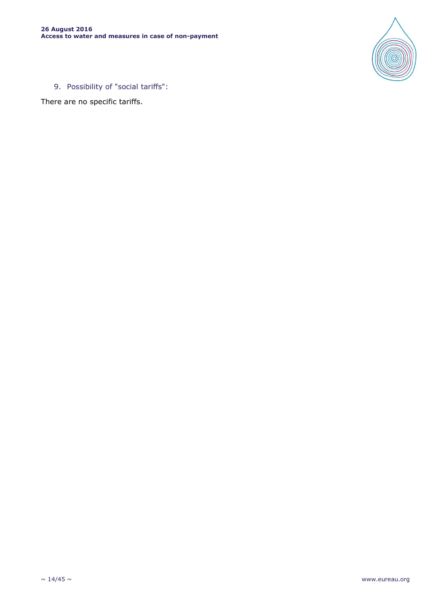

9. Possibility of "social tariffs":

There are no specific tariffs.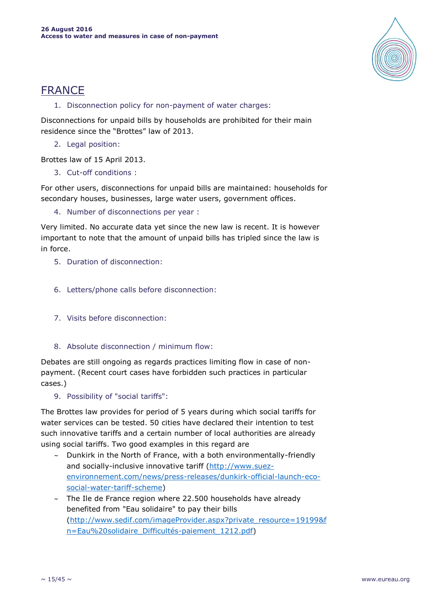

# FRANCE

1. Disconnection policy for non-payment of water charges:

Disconnections for unpaid bills by households are prohibited for their main residence since the "Brottes" law of 2013.

2. Legal position:

Brottes law of 15 April 2013.

3. Cut-off conditions :

For other users, disconnections for unpaid bills are maintained: households for secondary houses, businesses, large water users, government offices.

4. Number of disconnections per year :

Very limited. No accurate data yet since the new law is recent. It is however important to note that the amount of unpaid bills has tripled since the law is in force.

- 5. Duration of disconnection:
- 6. Letters/phone calls before disconnection:
- 7. Visits before disconnection:
- 8. Absolute disconnection / minimum flow:

Debates are still ongoing as regards practices limiting flow in case of nonpayment. (Recent court cases have forbidden such practices in particular cases.)

9. Possibility of "social tariffs":

The Brottes law provides for period of 5 years during which social tariffs for water services can be tested. 50 cities have declared their intention to test such innovative tariffs and a certain number of local authorities are already using social tariffs. Two good examples in this regard are

- $\sim$  Dunkirk in the North of France, with a both environmentally-friendly and socially-inclusive innovative tariff [\(http://www.suez](http://www.suez-environnement.com/news/press-releases/dunkirk-official-launch-eco-social-water-tariff-scheme)[environnement.com/news/press-releases/dunkirk-official-launch-eco](http://www.suez-environnement.com/news/press-releases/dunkirk-official-launch-eco-social-water-tariff-scheme)[social-water-tariff-scheme\)](http://www.suez-environnement.com/news/press-releases/dunkirk-official-launch-eco-social-water-tariff-scheme)
- $\sim$  The Ile de France region where 22.500 households have already benefited from "Eau solidaire" to pay their bills [\(http://www.sedif.com/imageProvider.aspx?private\\_resource=19199&f](http://www.sedif.com/imageProvider.aspx?private_resource=19199&fn=Eau%20solidaire_Difficultés-paiement_1212.pdf) [n=Eau%20solidaire\\_Difficultés-paiement\\_1212.pdf\)](http://www.sedif.com/imageProvider.aspx?private_resource=19199&fn=Eau%20solidaire_Difficultés-paiement_1212.pdf)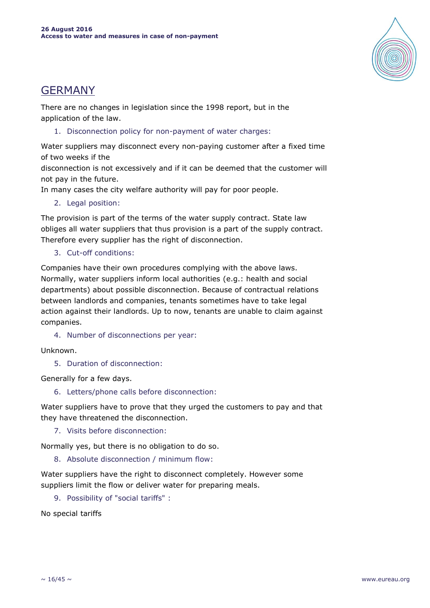

# GERMANY

There are no changes in legislation since the 1998 report, but in the application of the law.

1. Disconnection policy for non-payment of water charges:

Water suppliers may disconnect every non-paying customer after a fixed time of two weeks if the

disconnection is not excessively and if it can be deemed that the customer will not pay in the future.

In many cases the city welfare authority will pay for poor people.

2. Legal position:

The provision is part of the terms of the water supply contract. State law obliges all water suppliers that thus provision is a part of the supply contract. Therefore every supplier has the right of disconnection.

3. Cut-off conditions:

Companies have their own procedures complying with the above laws. Normally, water suppliers inform local authorities (e.g.: health and social departments) about possible disconnection. Because of contractual relations between landlords and companies, tenants sometimes have to take legal action against their landlords. Up to now, tenants are unable to claim against companies.

4. Number of disconnections per year:

Unknown.

5. Duration of disconnection:

Generally for a few days.

6. Letters/phone calls before disconnection:

Water suppliers have to prove that they urged the customers to pay and that they have threatened the disconnection.

7. Visits before disconnection:

Normally yes, but there is no obligation to do so.

8. Absolute disconnection / minimum flow:

Water suppliers have the right to disconnect completely. However some suppliers limit the flow or deliver water for preparing meals.

9. Possibility of "social tariffs" :

No special tariffs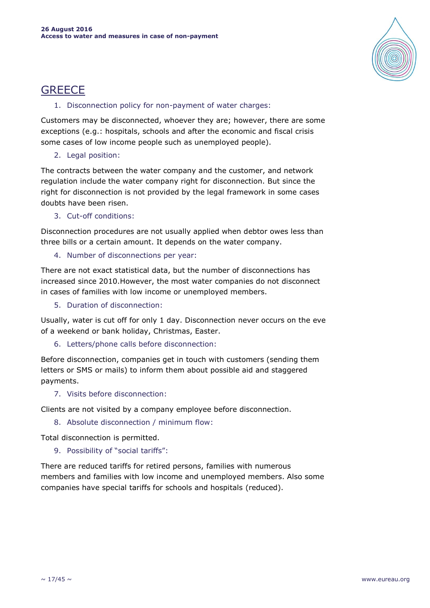

# **GREECE**

### 1. Disconnection policy for non-payment of water charges:

Customers may be disconnected, whoever they are; however, there are some exceptions (e.g.: hospitals, schools and after the economic and fiscal crisis some cases of low income people such as unemployed people).

# 2. Legal position:

The contracts between the water company and the customer, and network regulation include the water company right for disconnection. But since the right for disconnection is not provided by the legal framework in some cases doubts have been risen.

3. Cut-off conditions:

Disconnection procedures are not usually applied when debtor owes less than three bills or a certain amount. It depends on the water company.

4. Number of disconnections per year:

There are not exact statistical data, but the number of disconnections has increased since 2010.However, the most water companies do not disconnect in cases of families with low income or unemployed members.

5. Duration of disconnection:

Usually, water is cut off for only 1 day. Disconnection never occurs on the eve of a weekend or bank holiday, Christmas, Easter.

6. Letters/phone calls before disconnection:

Before disconnection, companies get in touch with customers (sending them letters or SMS or mails) to inform them about possible aid and staggered payments.

7. Visits before disconnection:

Clients are not visited by a company employee before disconnection.

8. Absolute disconnection / minimum flow:

Total disconnection is permitted.

9. Possibility of "social tariffs":

There are reduced tariffs for retired persons, families with numerous members and families with low income and unemployed members. Also some companies have special tariffs for schools and hospitals (reduced).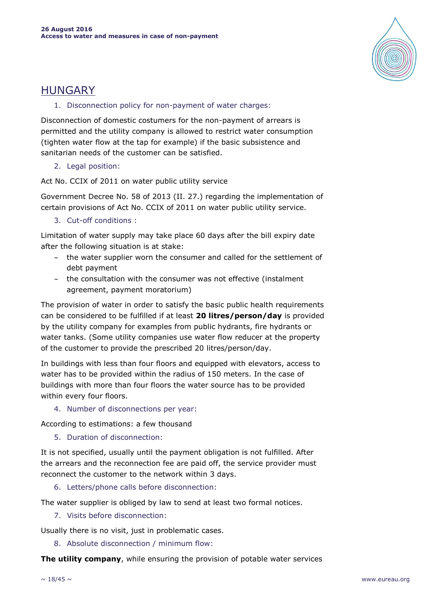

# HUNGARY

### 1. Disconnection policy for non-payment of water charges:

Disconnection of domestic costumers for the non-payment of arrears is permitted and the utility company is allowed to restrict water consumption (tighten water flow at the tap for example) if the basic subsistence and sanitarian needs of the customer can be satisfied.

# 2. Legal position:

Act No. CCIX of 2011 on water public utility service

Government Decree No. 58 of 2013 (II. 27.) regarding the implementation of certain provisions of Act No. CCIX of 2011 on water public utility service.

3. Cut-off conditions :

Limitation of water supply may take place 60 days after the bill expiry date after the following situation is at stake:

- $\sim$  the water supplier worn the consumer and called for the settlement of debt payment
- $\sim$  the consultation with the consumer was not effective (instalment agreement, payment moratorium)

The provision of water in order to satisfy the basic public health requirements can be considered to be fulfilled if at least **20 litres/person/day** is provided by the utility company for examples from public hydrants, fire hydrants or water tanks. (Some utility companies use water flow reducer at the property of the customer to provide the prescribed 20 litres/person/day.

In buildings with less than four floors and equipped with elevators, access to water has to be provided within the radius of 150 meters. In the case of buildings with more than four floors the water source has to be provided within every four floors.

4. Number of disconnections per year:

According to estimations: a few thousand

5. Duration of disconnection:

It is not specified, usually until the payment obligation is not fulfilled. After the arrears and the reconnection fee are paid off, the service provider must reconnect the customer to the network within 3 days.

6. Letters/phone calls before disconnection:

The water supplier is obliged by law to send at least two formal notices.

7. Visits before disconnection:

Usually there is no visit, just in problematic cases.

8. Absolute disconnection / minimum flow:

**The utility company**, while ensuring the provision of potable water services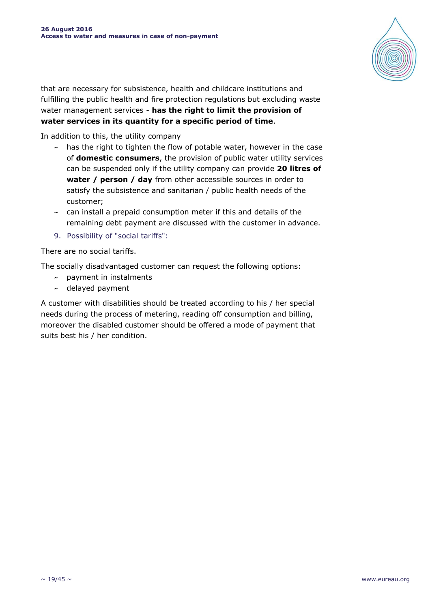

that are necessary for subsistence, health and childcare institutions and fulfilling the public health and fire protection regulations but excluding waste water management services - **has the right to limit the provision of water services in its quantity for a specific period of time**.

In addition to this, the utility company

- $\sim$  has the right to tighten the flow of potable water, however in the case of **domestic consumers**, the provision of public water utility services can be suspended only if the utility company can provide **20 litres of water / person / day** from other accessible sources in order to satisfy the subsistence and sanitarian / public health needs of the customer;
- $\sim$  can install a prepaid consumption meter if this and details of the remaining debt payment are discussed with the customer in advance.
- 9. Possibility of "social tariffs":

There are no social tariffs.

The socially disadvantaged customer can request the following options:

- $\sim$  payment in instalments
- $\sim$  delayed payment

A customer with disabilities should be treated according to his / her special needs during the process of metering, reading off consumption and billing, moreover the disabled customer should be offered a mode of payment that suits best his / her condition.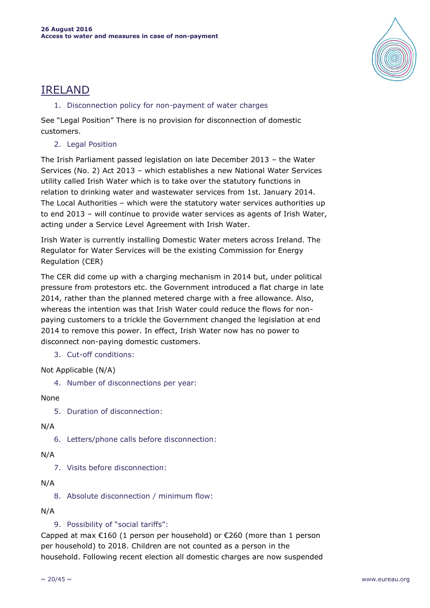

# IRELAND

### 1. Disconnection policy for non-payment of water charges

See "Legal Position" There is no provision for disconnection of domestic customers.

2. Legal Position

The Irish Parliament passed legislation on late December 2013 – the Water Services (No. 2) Act 2013 – which establishes a new National Water Services utility called Irish Water which is to take over the statutory functions in relation to drinking water and wastewater services from 1st. January 2014. The Local Authorities – which were the statutory water services authorities up to end 2013 – will continue to provide water services as agents of Irish Water, acting under a Service Level Agreement with Irish Water.

Irish Water is currently installing Domestic Water meters across Ireland. The Regulator for Water Services will be the existing Commission for Energy Regulation (CER)

The CER did come up with a charging mechanism in 2014 but, under political pressure from protestors etc. the Government introduced a flat charge in late 2014, rather than the planned metered charge with a free allowance. Also, whereas the intention was that Irish Water could reduce the flows for nonpaying customers to a trickle the Government changed the legislation at end 2014 to remove this power. In effect, Irish Water now has no power to disconnect non-paying domestic customers.

3. Cut-off conditions:

Not Applicable (N/A)

4. Number of disconnections per year:

# None

5. Duration of disconnection:

# N/A

6. Letters/phone calls before disconnection:

# N/A

7. Visits before disconnection:

# N/A

8. Absolute disconnection / minimum flow:

# N/A

# 9. Possibility of "social tariffs":

Capped at max  $E160$  (1 person per household) or  $E260$  (more than 1 person per household) to 2018. Children are not counted as a person in the household. Following recent election all domestic charges are now suspended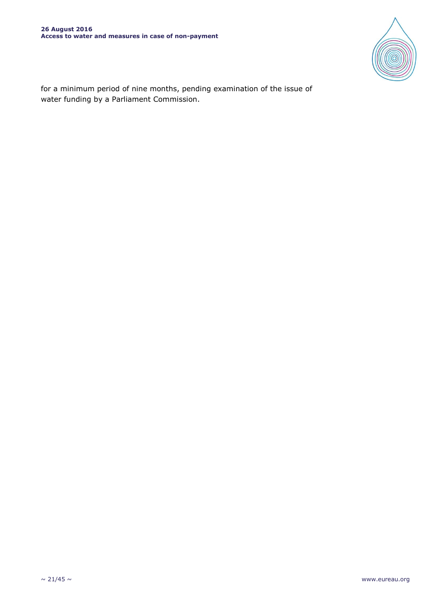

for a minimum period of nine months, pending examination of the issue of water funding by a Parliament Commission.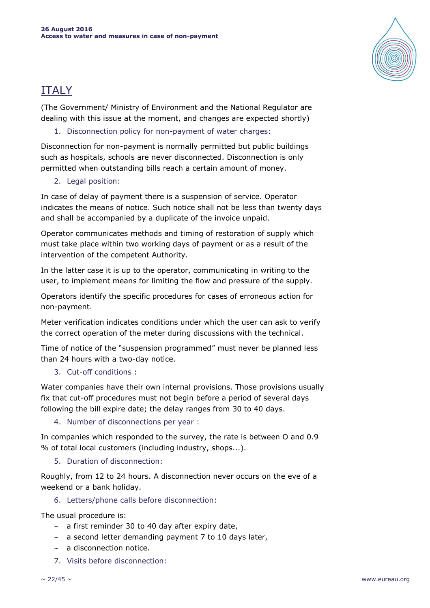

# ITALY

(The Government/ Ministry of Environment and the National Regulator are dealing with this issue at the moment, and changes are expected shortly)

# 1. Disconnection policy for non-payment of water charges:

Disconnection for non-payment is normally permitted but public buildings such as hospitals, schools are never disconnected. Disconnection is only permitted when outstanding bills reach a certain amount of money.

### 2. Legal position:

In case of delay of payment there is a suspension of service. Operator indicates the means of notice. Such notice shall not be less than twenty days and shall be accompanied by a duplicate of the invoice unpaid.

Operator communicates methods and timing of restoration of supply which must take place within two working days of payment or as a result of the intervention of the competent Authority.

In the latter case it is up to the operator, communicating in writing to the user, to implement means for limiting the flow and pressure of the supply.

Operators identify the specific procedures for cases of erroneous action for non-payment.

Meter verification indicates conditions under which the user can ask to verify the correct operation of the meter during discussions with the technical.

Time of notice of the "suspension programmed" must never be planned less than 24 hours with a two-day notice.

# 3. Cut-off conditions :

Water companies have their own internal provisions. Those provisions usually fix that cut-off procedures must not begin before a period of several days following the bill expire date; the delay ranges from 30 to 40 days.

4. Number of disconnections per year :

In companies which responded to the survey, the rate is between O and 0.9 % of total local customers (including industry, shops...).

5. Duration of disconnection:

Roughly, from 12 to 24 hours. A disconnection never occurs on the eve of a weekend or a bank holiday.

### 6. Letters/phone calls before disconnection:

The usual procedure is:

- $\sim$  a first reminder 30 to 40 day after expiry date,
- $\sim$  a second letter demanding payment 7 to 10 days later,
- $\sim$  a disconnection notice.
- 7. Visits before disconnection: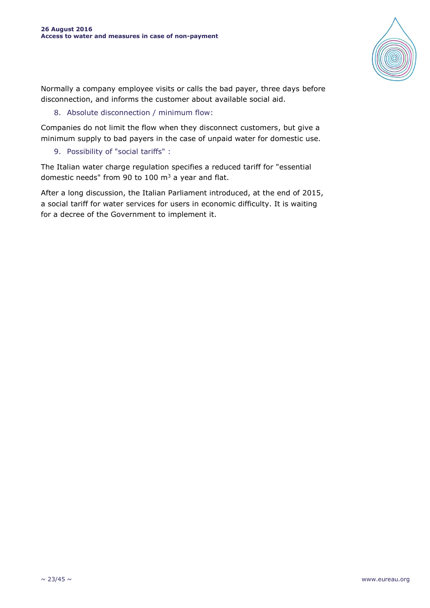

Normally a company employee visits or calls the bad payer, three days before disconnection, and informs the customer about available social aid.

8. Absolute disconnection / minimum flow:

Companies do not limit the flow when they disconnect customers, but give a minimum supply to bad payers in the case of unpaid water for domestic use.

9. Possibility of "social tariffs" :

The Italian water charge regulation specifies a reduced tariff for "essential domestic needs" from 90 to 100  $\text{m}^3$  a year and flat.

After a long discussion, the Italian Parliament introduced, at the end of 2015, a social tariff for water services for users in economic difficulty. It is waiting for a decree of the Government to implement it.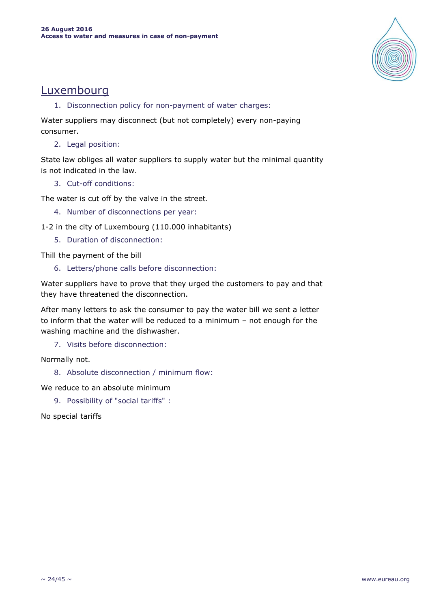

# Luxembourg

1. Disconnection policy for non-payment of water charges:

Water suppliers may disconnect (but not completely) every non-paying consumer.

2. Legal position:

State law obliges all water suppliers to supply water but the minimal quantity is not indicated in the law.

3. Cut-off conditions:

The water is cut off by the valve in the street.

- 4. Number of disconnections per year:
- 1-2 in the city of Luxembourg (110.000 inhabitants)
	- 5. Duration of disconnection:

Thill the payment of the bill

6. Letters/phone calls before disconnection:

Water suppliers have to prove that they urged the customers to pay and that they have threatened the disconnection.

After many letters to ask the consumer to pay the water bill we sent a letter to inform that the water will be reduced to a minimum – not enough for the washing machine and the dishwasher.

7. Visits before disconnection:

Normally not.

8. Absolute disconnection / minimum flow:

We reduce to an absolute minimum

9. Possibility of "social tariffs" :

No special tariffs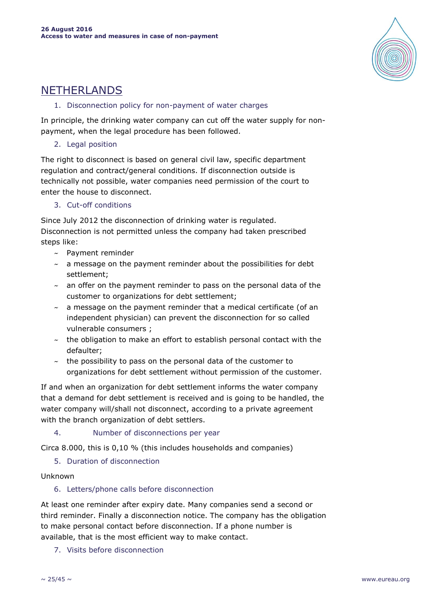

# NETHERLANDS

### 1. Disconnection policy for non-payment of water charges

In principle, the drinking water company can cut off the water supply for nonpayment, when the legal procedure has been followed.

### 2. Legal position

The right to disconnect is based on general civil law, specific department regulation and contract/general conditions. If disconnection outside is technically not possible, water companies need permission of the court to enter the house to disconnect.

# 3. Cut-off conditions

Since July 2012 the disconnection of drinking water is regulated. Disconnection is not permitted unless the company had taken prescribed steps like:

- ~ Payment reminder
- $\sim$  a message on the payment reminder about the possibilities for debt settlement;
- $\sim$  an offer on the payment reminder to pass on the personal data of the customer to organizations for debt settlement;
- $\sim$  a message on the payment reminder that a medical certificate (of an independent physician) can prevent the disconnection for so called vulnerable consumers ;
- $\sim$  the obligation to make an effort to establish personal contact with the defaulter;
- $\sim$  the possibility to pass on the personal data of the customer to organizations for debt settlement without permission of the customer.

If and when an organization for debt settlement informs the water company that a demand for debt settlement is received and is going to be handled, the water company will/shall not disconnect, according to a private agreement with the branch organization of debt settlers.

4. Number of disconnections per year

Circa 8.000, this is 0,10 % (this includes households and companies)

# 5. Duration of disconnection

### Unknown

# 6. Letters/phone calls before disconnection

At least one reminder after expiry date. Many companies send a second or third reminder. Finally a disconnection notice. The company has the obligation to make personal contact before disconnection. If a phone number is available, that is the most efficient way to make contact.

7. Visits before disconnection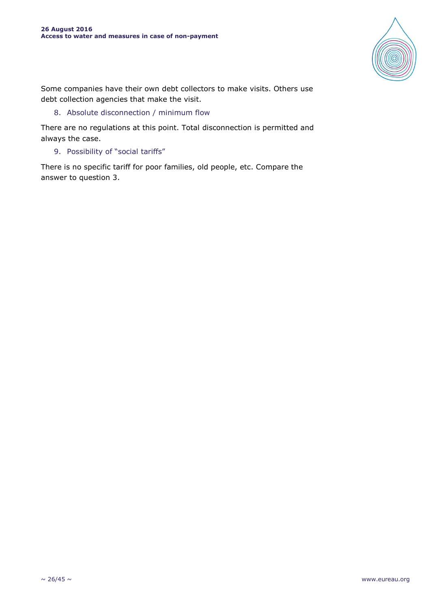

Some companies have their own debt collectors to make visits. Others use debt collection agencies that make the visit.

### 8. Absolute disconnection / minimum flow

There are no regulations at this point. Total disconnection is permitted and always the case.

9. Possibility of "social tariffs"

There is no specific tariff for poor families, old people, etc. Compare the answer to question 3.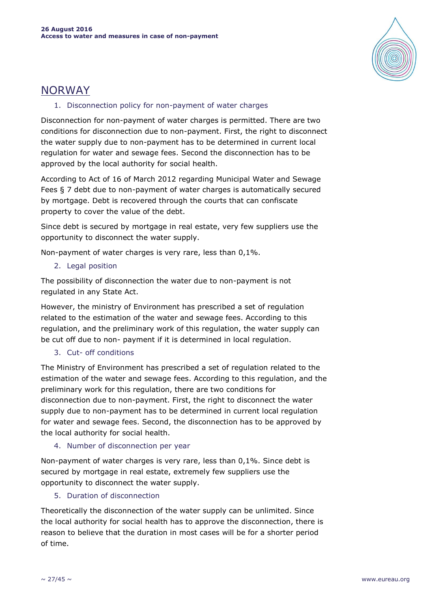

# NORWAY

### 1. Disconnection policy for non-payment of water charges

Disconnection for non-payment of water charges is permitted. There are two conditions for disconnection due to non-payment. First, the right to disconnect the water supply due to non-payment has to be determined in current local regulation for water and sewage fees. Second the disconnection has to be approved by the local authority for social health.

According to Act of 16 of March 2012 regarding Municipal Water and Sewage Fees § 7 debt due to non-payment of water charges is automatically secured by mortgage. Debt is recovered through the courts that can confiscate property to cover the value of the debt.

Since debt is secured by mortgage in real estate, very few suppliers use the opportunity to disconnect the water supply.

Non-payment of water charges is very rare, less than 0,1%.

2. Legal position

The possibility of disconnection the water due to non-payment is not regulated in any State Act.

However, the ministry of Environment has prescribed a set of regulation related to the estimation of the water and sewage fees. According to this regulation, and the preliminary work of this regulation, the water supply can be cut off due to non- payment if it is determined in local regulation.

# 3. Cut- off conditions

The Ministry of Environment has prescribed a set of regulation related to the estimation of the water and sewage fees. According to this regulation, and the preliminary work for this regulation, there are two conditions for disconnection due to non-payment. First, the right to disconnect the water supply due to non-payment has to be determined in current local regulation for water and sewage fees. Second, the disconnection has to be approved by the local authority for social health.

### 4. Number of disconnection per year

Non-payment of water charges is very rare, less than 0,1%. Since debt is secured by mortgage in real estate, extremely few suppliers use the opportunity to disconnect the water supply.

# 5. Duration of disconnection

Theoretically the disconnection of the water supply can be unlimited. Since the local authority for social health has to approve the disconnection, there is reason to believe that the duration in most cases will be for a shorter period of time.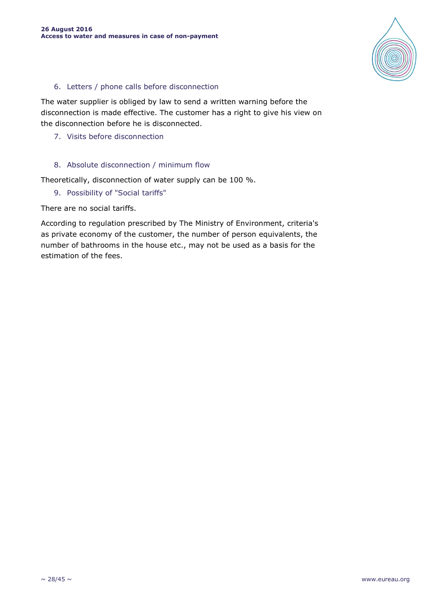

### 6. Letters / phone calls before disconnection

The water supplier is obliged by law to send a written warning before the disconnection is made effective. The customer has a right to give his view on the disconnection before he is disconnected.

7. Visits before disconnection

#### 8. Absolute disconnection / minimum flow

Theoretically, disconnection of water supply can be 100 %.

9. Possibility of "Social tariffs"

There are no social tariffs.

According to regulation prescribed by The Ministry of Environment, criteria's as private economy of the customer, the number of person equivalents, the number of bathrooms in the house etc., may not be used as a basis for the estimation of the fees.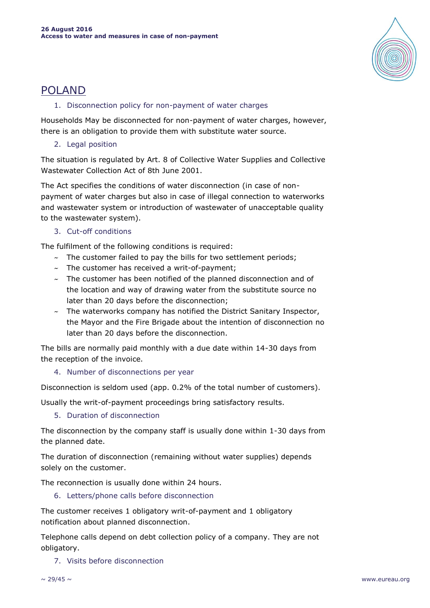

# POLAND

### 1. Disconnection policy for non-payment of water charges

Households May be disconnected for non-payment of water charges, however, there is an obligation to provide them with substitute water source.

2. Legal position

The situation is regulated by Art. 8 of Collective Water Supplies and Collective Wastewater Collection Act of 8th June 2001.

The Act specifies the conditions of water disconnection (in case of nonpayment of water charges but also in case of illegal connection to waterworks and wastewater system or introduction of wastewater of unacceptable quality to the wastewater system).

3. Cut-off conditions

The fulfilment of the following conditions is required:

- $\sim$  The customer failed to pay the bills for two settlement periods;
- $\sim$  The customer has received a writ-of-payment;
- $\sim$  The customer has been notified of the planned disconnection and of the location and way of drawing water from the substitute source no later than 20 days before the disconnection;
- $\sim$  The waterworks company has notified the District Sanitary Inspector, the Mayor and the Fire Brigade about the intention of disconnection no later than 20 days before the disconnection.

The bills are normally paid monthly with a due date within 14-30 days from the reception of the invoice.

4. Number of disconnections per year

Disconnection is seldom used (app. 0.2% of the total number of customers).

Usually the writ-of-payment proceedings bring satisfactory results.

5. Duration of disconnection

The disconnection by the company staff is usually done within 1-30 days from the planned date.

The duration of disconnection (remaining without water supplies) depends solely on the customer.

The reconnection is usually done within 24 hours.

6. Letters/phone calls before disconnection

The customer receives 1 obligatory writ-of-payment and 1 obligatory notification about planned disconnection.

Telephone calls depend on debt collection policy of a company. They are not obligatory.

7. Visits before disconnection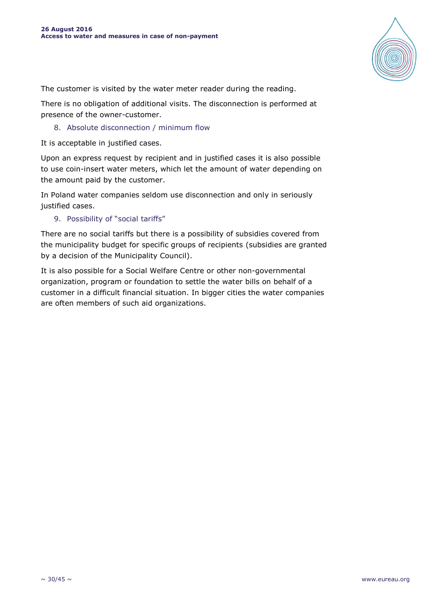

The customer is visited by the water meter reader during the reading.

There is no obligation of additional visits. The disconnection is performed at presence of the owner-customer.

8. Absolute disconnection / minimum flow

It is acceptable in justified cases.

Upon an express request by recipient and in justified cases it is also possible to use coin-insert water meters, which let the amount of water depending on the amount paid by the customer.

In Poland water companies seldom use disconnection and only in seriously justified cases.

9. Possibility of "social tariffs"

There are no social tariffs but there is a possibility of subsidies covered from the municipality budget for specific groups of recipients (subsidies are granted by a decision of the Municipality Council).

It is also possible for a Social Welfare Centre or other non-governmental organization, program or foundation to settle the water bills on behalf of a customer in a difficult financial situation. In bigger cities the water companies are often members of such aid organizations.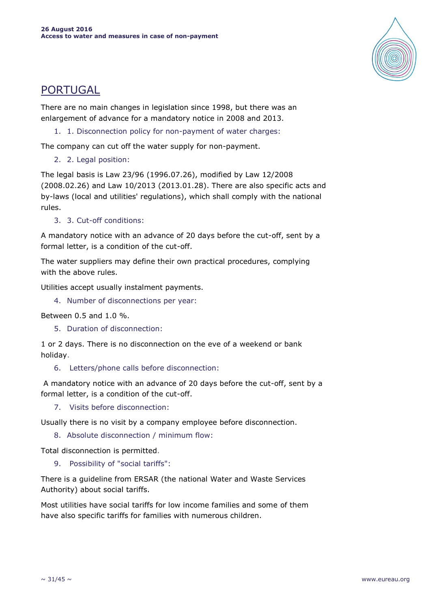

# PORTUGAL

There are no main changes in legislation since 1998, but there was an enlargement of advance for a mandatory notice in 2008 and 2013.

1. 1. Disconnection policy for non-payment of water charges:

The company can cut off the water supply for non-payment.

2. 2. Legal position:

The legal basis is Law 23/96 (1996.07.26), modified by Law 12/2008 (2008.02.26) and Law 10/2013 (2013.01.28). There are also specific acts and by-laws (local and utilities' regulations), which shall comply with the national rules.

3. 3. Cut-off conditions:

A mandatory notice with an advance of 20 days before the cut-off, sent by a formal letter, is a condition of the cut-off.

The water suppliers may define their own practical procedures, complying with the above rules.

Utilities accept usually instalment payments.

4. Number of disconnections per year:

Between 0.5 and 1.0 %.

5. Duration of disconnection:

1 or 2 days. There is no disconnection on the eve of a weekend or bank holiday.

6. Letters/phone calls before disconnection:

A mandatory notice with an advance of 20 days before the cut-off, sent by a formal letter, is a condition of the cut-off.

7. Visits before disconnection:

Usually there is no visit by a company employee before disconnection.

8. Absolute disconnection / minimum flow:

Total disconnection is permitted.

9. Possibility of "social tariffs":

There is a guideline from ERSAR (the national Water and Waste Services Authority) about social tariffs.

Most utilities have social tariffs for low income families and some of them have also specific tariffs for families with numerous children.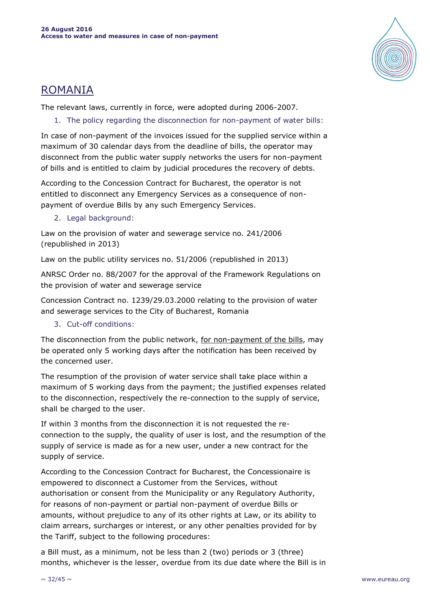

# ROMANIA

The relevant laws, currently in force, were adopted during 2006-2007.

1. The policy regarding the disconnection for non-payment of water bills:

In case of non-payment of the invoices issued for the supplied service within a maximum of 30 calendar days from the deadline of bills, the operator may disconnect from the public water supply networks the users for non-payment of bills and is entitled to claim by judicial procedures the recovery of debts.

According to the Concession Contract for Bucharest, the operator is not entitled to disconnect any Emergency Services as a consequence of nonpayment of overdue Bills by any such Emergency Services.

2. Legal background:

Law on the provision of water and sewerage service no. 241/2006 (republished in 2013)

Law on the public utility services no. 51/2006 (republished in 2013)

ANRSC Order no. 88/2007 for the approval of the Framework Regulations on the provision of water and sewerage service

Concession Contract no. 1239/29.03.2000 relating to the provision of water and sewerage services to the City of Bucharest, Romania

3. Cut-off conditions:

The disconnection from the public network, for non-payment of the bills, may be operated only 5 working days after the notification has been received by the concerned user.

The resumption of the provision of water service shall take place within a maximum of 5 working days from the payment; the justified expenses related to the disconnection, respectively the re-connection to the supply of service, shall be charged to the user.

If within 3 months from the disconnection it is not requested the reconnection to the supply, the quality of user is lost, and the resumption of the supply of service is made as for a new user, under a new contract for the supply of service.

According to the Concession Contract for Bucharest, the Concessionaire is empowered to disconnect a Customer from the Services, without authorisation or consent from the Municipality or any Regulatory Authority, for reasons of non-payment or partial non-payment of overdue Bills or amounts, without prejudice to any of its other rights at Law, or its ability to claim arrears, surcharges or interest, or any other penalties provided for by the Tariff, subject to the following procedures:

a Bill must, as a minimum, not be less than 2 (two) periods or 3 (three) months, whichever is the lesser, overdue from its due date where the Bill is in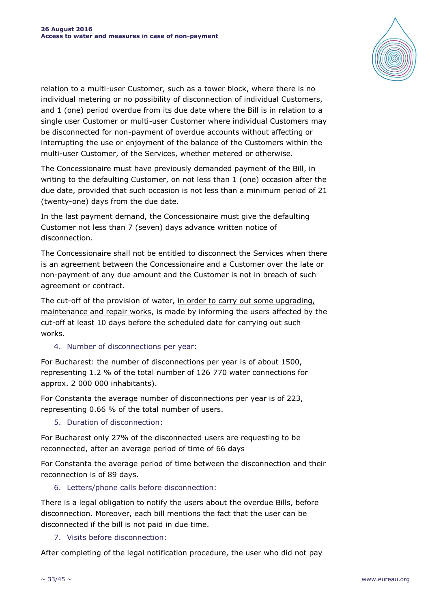

relation to a multi-user Customer, such as a tower block, where there is no individual metering or no possibility of disconnection of individual Customers, and 1 (one) period overdue from its due date where the Bill is in relation to a single user Customer or multi-user Customer where individual Customers may be disconnected for non-payment of overdue accounts without affecting or interrupting the use or enjoyment of the balance of the Customers within the multi-user Customer, of the Services, whether metered or otherwise.

The Concessionaire must have previously demanded payment of the Bill, in writing to the defaulting Customer, on not less than 1 (one) occasion after the due date, provided that such occasion is not less than a minimum period of 21 (twenty-one) days from the due date.

In the last payment demand, the Concessionaire must give the defaulting Customer not less than 7 (seven) days advance written notice of disconnection.

The Concessionaire shall not be entitled to disconnect the Services when there is an agreement between the Concessionaire and a Customer over the late or non-payment of any due amount and the Customer is not in breach of such agreement or contract.

The cut-off of the provision of water, in order to carry out some upgrading, maintenance and repair works, is made by informing the users affected by the cut-off at least 10 days before the scheduled date for carrying out such works.

### 4. Number of disconnections per year:

For Bucharest: the number of disconnections per year is of about 1500, representing 1.2 % of the total number of 126 770 water connections for approx. 2 000 000 inhabitants).

For Constanta the average number of disconnections per year is of 223, representing 0.66 % of the total number of users.

5. Duration of disconnection:

For Bucharest only 27% of the disconnected users are requesting to be reconnected, after an average period of time of 66 days

For Constanta the average period of time between the disconnection and their reconnection is of 89 days.

### 6. Letters/phone calls before disconnection:

There is a legal obligation to notify the users about the overdue Bills, before disconnection. Moreover, each bill mentions the fact that the user can be disconnected if the bill is not paid in due time.

7. Visits before disconnection:

After completing of the legal notification procedure, the user who did not pay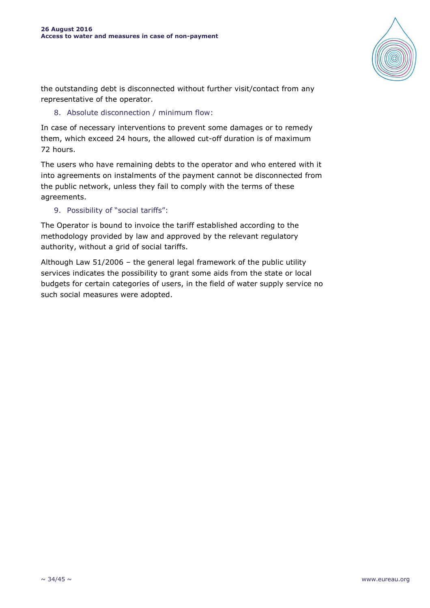

the outstanding debt is disconnected without further visit/contact from any representative of the operator.

8. Absolute disconnection / minimum flow:

In case of necessary interventions to prevent some damages or to remedy them, which exceed 24 hours, the allowed cut-off duration is of maximum 72 hours.

The users who have remaining debts to the operator and who entered with it into agreements on instalments of the payment cannot be disconnected from the public network, unless they fail to comply with the terms of these agreements.

9. Possibility of "social tariffs":

The Operator is bound to invoice the tariff established according to the methodology provided by law and approved by the relevant regulatory authority, without a grid of social tariffs.

Although Law 51/2006 – the general legal framework of the public utility services indicates the possibility to grant some aids from the state or local budgets for certain categories of users, in the field of water supply service no such social measures were adopted.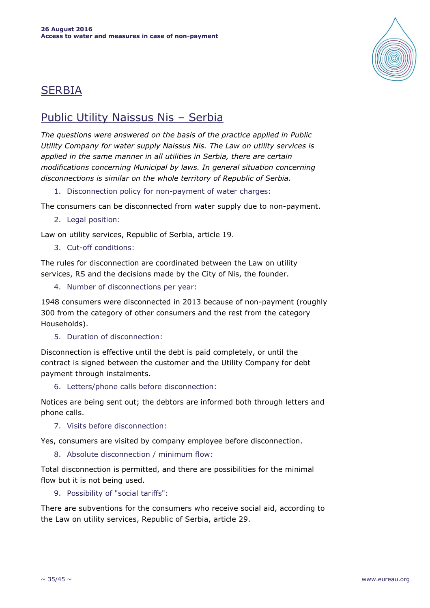

# SERBIA

# Public Utility Naissus Nis – Serbia

*The questions were answered on the basis of the practice applied in Public Utility Company for water supply Naissus Nis. The Law on utility services is applied in the same manner in all utilities in Serbia, there are certain modifications concerning Municipal by laws. In general situation concerning disconnections is similar on the whole territory of Republic of Serbia.*

1. Disconnection policy for non-payment of water charges:

The consumers can be disconnected from water supply due to non-payment.

2. Legal position:

Law on utility services, Republic of Serbia, article 19.

3. Cut-off conditions:

The rules for disconnection are coordinated between the Law on utility services, RS and the decisions made by the City of Nis, the founder.

4. Number of disconnections per year:

1948 consumers were disconnected in 2013 because of non-payment (roughly 300 from the category of other consumers and the rest from the category Households).

5. Duration of disconnection:

Disconnection is effective until the debt is paid completely, or until the contract is signed between the customer and the Utility Company for debt payment through instalments.

6. Letters/phone calls before disconnection:

Notices are being sent out; the debtors are informed both through letters and phone calls.

7. Visits before disconnection:

Yes, consumers are visited by company employee before disconnection.

8. Absolute disconnection / minimum flow:

Total disconnection is permitted, and there are possibilities for the minimal flow but it is not being used.

9. Possibility of "social tariffs":

There are subventions for the consumers who receive social aid, according to the Law on utility services, Republic of Serbia, article 29.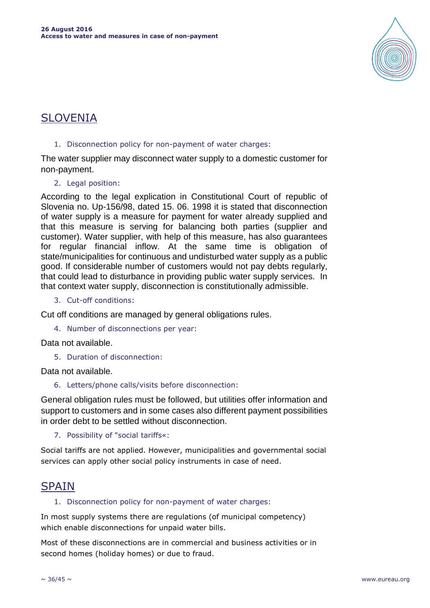

# SLOVENIA

### 1. Disconnection policy for non-payment of water charges:

The water supplier may disconnect water supply to a domestic customer for non-payment.

### 2. Legal position:

According to the legal explication in Constitutional Court of republic of Slovenia no. Up-156/98, dated 15. 06. 1998 it is stated that disconnection of water supply is a measure for payment for water already supplied and that this measure is serving for balancing both parties (supplier and customer). Water supplier, with help of this measure, has also guarantees for regular financial inflow. At the same time is obligation of state/municipalities for continuous and undisturbed water supply as a public good. If considerable number of customers would not pay debts regularly, that could lead to disturbance in providing public water supply services. In that context water supply, disconnection is constitutionally admissible.

3. Cut-off conditions:

Cut off conditions are managed by general obligations rules.

4. Number of disconnections per year:

Data not available.

5. Duration of disconnection:

Data not available.

6. Letters/phone calls/visits before disconnection:

General obligation rules must be followed, but utilities offer information and support to customers and in some cases also different payment possibilities in order debt to be settled without disconnection.

7. Possibility of "social tariffs«:

Social tariffs are not applied. However, municipalities and governmental social services can apply other social policy instruments in case of need.

# **SPAIN**

### 1. Disconnection policy for non-payment of water charges:

In most supply systems there are regulations (of municipal competency) which enable disconnections for unpaid water bills.

Most of these disconnections are in commercial and business activities or in second homes (holiday homes) or due to fraud.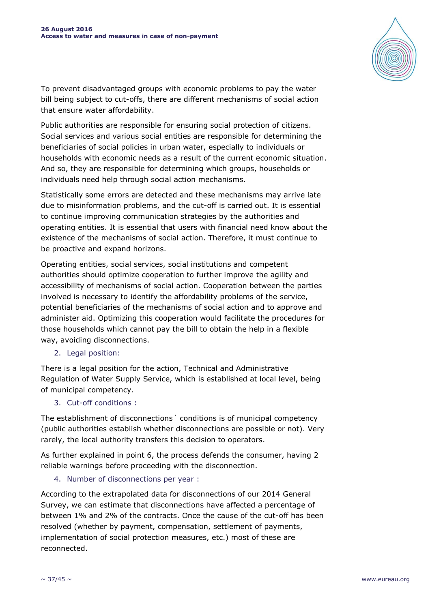

To prevent disadvantaged groups with economic problems to pay the water bill being subject to cut-offs, there are different mechanisms of social action that ensure water affordability.

Public authorities are responsible for ensuring social protection of citizens. Social services and various social entities are responsible for determining the beneficiaries of social policies in urban water, especially to individuals or households with economic needs as a result of the current economic situation. And so, they are responsible for determining which groups, households or individuals need help through social action mechanisms.

Statistically some errors are detected and these mechanisms may arrive late due to misinformation problems, and the cut-off is carried out. It is essential to continue improving communication strategies by the authorities and operating entities. It is essential that users with financial need know about the existence of the mechanisms of social action. Therefore, it must continue to be proactive and expand horizons.

Operating entities, social services, social institutions and competent authorities should optimize cooperation to further improve the agility and accessibility of mechanisms of social action. Cooperation between the parties involved is necessary to identify the affordability problems of the service, potential beneficiaries of the mechanisms of social action and to approve and administer aid. Optimizing this cooperation would facilitate the procedures for those households which cannot pay the bill to obtain the help in a flexible way, avoiding disconnections.

2. Legal position:

There is a legal position for the action, Technical and Administrative Regulation of Water Supply Service, which is established at local level, being of municipal competency.

3. Cut-off conditions :

The establishment of disconnections´ conditions is of municipal competency (public authorities establish whether disconnections are possible or not). Very rarely, the local authority transfers this decision to operators.

As further explained in point 6, the process defends the consumer, having 2 reliable warnings before proceeding with the disconnection.

### 4. Number of disconnections per year :

According to the extrapolated data for disconnections of our 2014 General Survey, we can estimate that disconnections have affected a percentage of between 1% and 2% of the contracts. Once the cause of the cut-off has been resolved (whether by payment, compensation, settlement of payments, implementation of social protection measures, etc.) most of these are reconnected.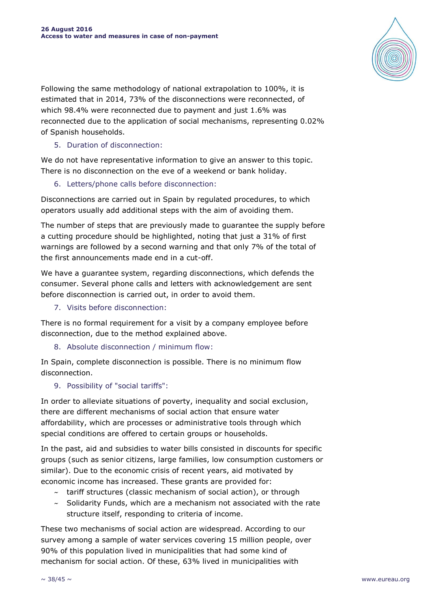

Following the same methodology of national extrapolation to 100%, it is estimated that in 2014, 73% of the disconnections were reconnected, of which 98.4% were reconnected due to payment and just 1.6% was reconnected due to the application of social mechanisms, representing 0.02% of Spanish households.

### 5. Duration of disconnection:

We do not have representative information to give an answer to this topic. There is no disconnection on the eve of a weekend or bank holiday.

### 6. Letters/phone calls before disconnection:

Disconnections are carried out in Spain by regulated procedures, to which operators usually add additional steps with the aim of avoiding them.

The number of steps that are previously made to guarantee the supply before a cutting procedure should be highlighted, noting that just a 31% of first warnings are followed by a second warning and that only 7% of the total of the first announcements made end in a cut-off.

We have a guarantee system, regarding disconnections, which defends the consumer. Several phone calls and letters with acknowledgement are sent before disconnection is carried out, in order to avoid them.

7. Visits before disconnection:

There is no formal requirement for a visit by a company employee before disconnection, due to the method explained above.

# 8. Absolute disconnection / minimum flow:

In Spain, complete disconnection is possible. There is no minimum flow disconnection.

### 9. Possibility of "social tariffs":

In order to alleviate situations of poverty, inequality and social exclusion, there are different mechanisms of social action that ensure water affordability, which are processes or administrative tools through which special conditions are offered to certain groups or households.

In the past, aid and subsidies to water bills consisted in discounts for specific groups (such as senior citizens, large families, low consumption customers or similar). Due to the economic crisis of recent years, aid motivated by economic income has increased. These grants are provided for:

- $\sim$  tariff structures (classic mechanism of social action), or through
- $\sim$  Solidarity Funds, which are a mechanism not associated with the rate structure itself, responding to criteria of income.

These two mechanisms of social action are widespread. According to our survey among a sample of water services covering 15 million people, over 90% of this population lived in municipalities that had some kind of mechanism for social action. Of these, 63% lived in municipalities with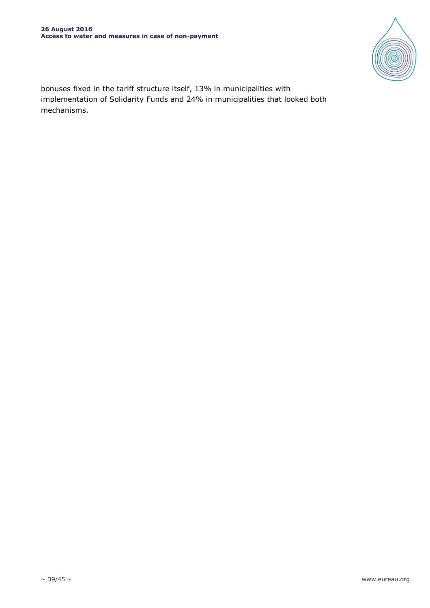

bonuses fixed in the tariff structure itself, 13% in municipalities with implementation of Solidarity Funds and 24% in municipalities that looked both mechanisms.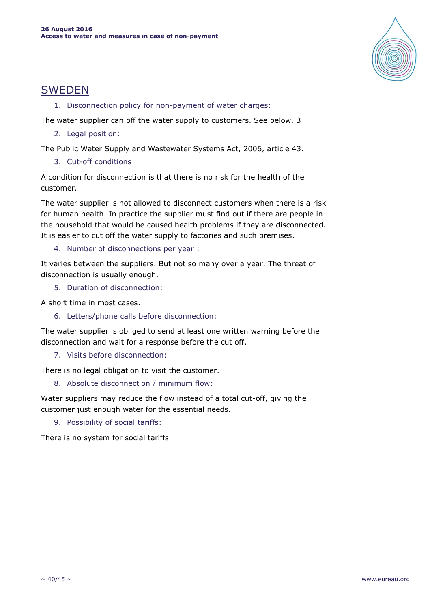

# SWEDEN

1. Disconnection policy for non-payment of water charges:

The water supplier can off the water supply to customers. See below, 3

2. Legal position:

The Public Water Supply and Wastewater Systems Act, 2006, article 43.

3. Cut-off conditions:

A condition for disconnection is that there is no risk for the health of the customer.

The water supplier is not allowed to disconnect customers when there is a risk for human health. In practice the supplier must find out if there are people in the household that would be caused health problems if they are disconnected. It is easier to cut off the water supply to factories and such premises.

4. Number of disconnections per year :

It varies between the suppliers. But not so many over a year. The threat of disconnection is usually enough.

5. Duration of disconnection:

A short time in most cases.

6. Letters/phone calls before disconnection:

The water supplier is obliged to send at least one written warning before the disconnection and wait for a response before the cut off.

7. Visits before disconnection:

There is no legal obligation to visit the customer.

8. Absolute disconnection / minimum flow:

Water suppliers may reduce the flow instead of a total cut-off, giving the customer just enough water for the essential needs.

9. Possibility of social tariffs:

There is no system for social tariffs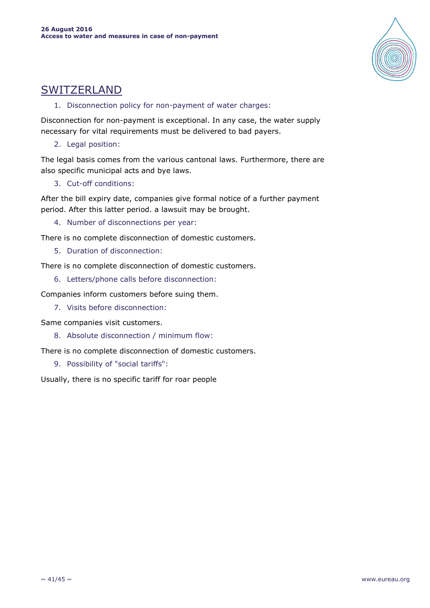

# SWITZERLAND

1. Disconnection policy for non-payment of water charges:

Disconnection for non-payment is exceptional. In any case, the water supply necessary for vital requirements must be delivered to bad payers.

2. Legal position:

The legal basis comes from the various cantonal laws. Furthermore, there are also specific municipal acts and bye laws.

3. Cut-off conditions:

After the bill expiry date, companies give formal notice of a further payment period. After this latter period. a lawsuit may be brought.

4. Number of disconnections per year:

There is no complete disconnection of domestic customers.

5. Duration of disconnection:

There is no complete disconnection of domestic customers.

6. Letters/phone calls before disconnection:

Companies inform customers before suing them.

7. Visits before disconnection:

Same companies visit customers.

8. Absolute disconnection / minimum flow:

There is no complete disconnection of domestic customers.

9. Possibility of "social tariffs":

Usually, there is no specific tariff for roar people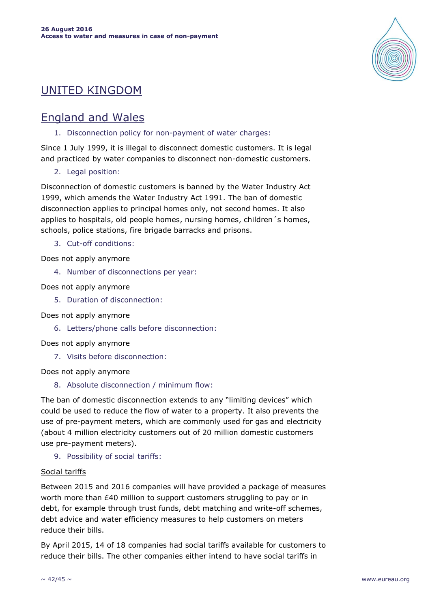# UNITED KINGDOM

# England and Wales

1. Disconnection policy for non-payment of water charges:

Since 1 July 1999, it is illegal to disconnect domestic customers. It is legal and practiced by water companies to disconnect non-domestic customers.

2. Legal position:

Disconnection of domestic customers is banned by the Water Industry Act 1999, which amends the Water Industry Act 1991. The ban of domestic disconnection applies to principal homes only, not second homes. It also applies to hospitals, old people homes, nursing homes, children´s homes, schools, police stations, fire brigade barracks and prisons.

3. Cut-off conditions:

Does not apply anymore

4. Number of disconnections per year:

Does not apply anymore

- 5. Duration of disconnection:
- Does not apply anymore
	- 6. Letters/phone calls before disconnection:
- Does not apply anymore
	- 7. Visits before disconnection:

Does not apply anymore

8. Absolute disconnection / minimum flow:

The ban of domestic disconnection extends to any "limiting devices" which could be used to reduce the flow of water to a property. It also prevents the use of pre-payment meters, which are commonly used for gas and electricity (about 4 million electricity customers out of 20 million domestic customers use pre-payment meters).

9. Possibility of social tariffs:

### Social tariffs

Between 2015 and 2016 companies will have provided a package of measures worth more than £40 million to support customers struggling to pay or in debt, for example through trust funds, debt matching and write-off schemes, debt advice and water efficiency measures to help customers on meters reduce their bills.

By April 2015, 14 of 18 companies had social tariffs available for customers to reduce their bills. The other companies either intend to have social tariffs in

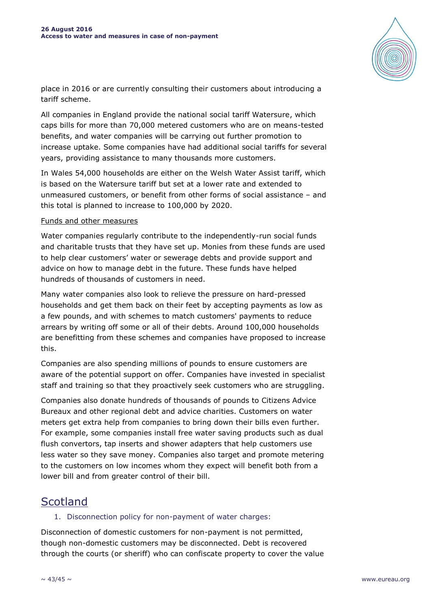

place in 2016 or are currently consulting their customers about introducing a tariff scheme.

All companies in England provide the national social tariff Watersure, which caps bills for more than 70,000 metered customers who are on means-tested benefits, and water companies will be carrying out further promotion to increase uptake. Some companies have had additional social tariffs for several years, providing assistance to many thousands more customers.

In Wales 54,000 households are either on the Welsh Water Assist tariff, which is based on the Watersure tariff but set at a lower rate and extended to unmeasured customers, or benefit from other forms of social assistance – and this total is planned to increase to 100,000 by 2020.

#### Funds and other measures

Water companies regularly contribute to the independently-run social funds and charitable trusts that they have set up. Monies from these funds are used to help clear customers' water or sewerage debts and provide support and advice on how to manage debt in the future. These funds have helped hundreds of thousands of customers in need.

Many water companies also look to relieve the pressure on hard-pressed households and get them back on their feet by accepting payments as low as a few pounds, and with schemes to match customers' payments to reduce arrears by writing off some or all of their debts. Around 100,000 households are benefitting from these schemes and companies have proposed to increase this.

Companies are also spending millions of pounds to ensure customers are aware of the potential support on offer. Companies have invested in specialist staff and training so that they proactively seek customers who are struggling.

Companies also donate hundreds of thousands of pounds to Citizens Advice Bureaux and other regional debt and advice charities. Customers on water meters get extra help from companies to bring down their bills even further. For example, some companies install free water saving products such as dual flush convertors, tap inserts and shower adapters that help customers use less water so they save money. Companies also target and promote metering to the customers on low incomes whom they expect will benefit both from a lower bill and from greater control of their bill.

# **Scotland**

### 1. Disconnection policy for non-payment of water charges:

Disconnection of domestic customers for non-payment is not permitted, though non-domestic customers may be disconnected. Debt is recovered through the courts (or sheriff) who can confiscate property to cover the value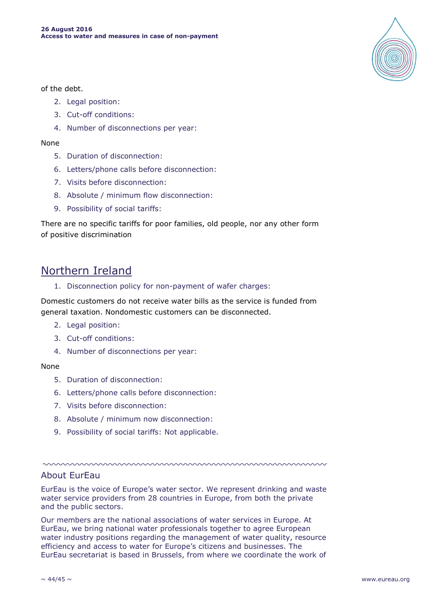

of the debt.

- 2. Legal position:
- 3. Cut-off conditions:
- 4. Number of disconnections per year:

#### None

- 5. Duration of disconnection:
- 6. Letters/phone calls before disconnection:
- 7. Visits before disconnection:
- 8. Absolute / minimum flow disconnection:
- 9. Possibility of social tariffs:

There are no specific tariffs for poor families, old people, nor any other form of positive discrimination

# Northern Ireland

1. Disconnection policy for non-payment of wafer charges:

Domestic customers do not receive water bills as the service is funded from general taxation. Nondomestic customers can be disconnected.

- 2. Legal position:
- 3. Cut-off conditions:
- 4. Number of disconnections per year:

#### None

- 5. Duration of disconnection:
- 6. Letters/phone calls before disconnection:
- 7. Visits before disconnection:
- 8. Absolute / minimum now disconnection:
- 9. Possibility of social tariffs: Not applicable.

<u>ummummummummummu</u>

# About EurEau

EurEau is the voice of Europe's water sector. We represent drinking and waste water service providers from 28 countries in Europe, from both the private and the public sectors.

Our members are the national associations of water services in Europe. At EurEau, we bring national water professionals together to agree European water industry positions regarding the management of water quality, resource efficiency and access to water for Europe's citizens and businesses. The EurEau secretariat is based in Brussels, from where we coordinate the work of